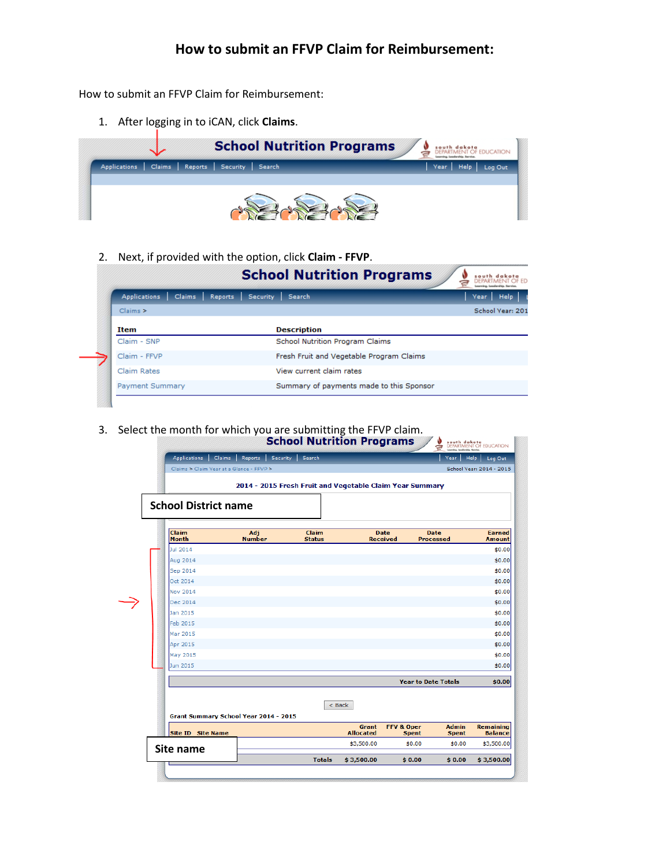How to submit an FFVP Claim for Reimbursement:

1. After logging in to iCAN, click **Claims**.



2. Next, if provided with the option, click **Claim - FFVP**.

| Security<br>Search                       | Year Help<br>School Year: 201 |
|------------------------------------------|-------------------------------|
|                                          |                               |
|                                          |                               |
| <b>Description</b>                       |                               |
| School Nutrition Program Claims          |                               |
| Fresh Fruit and Vegetable Program Claims |                               |
| View current claim rates                 |                               |
| Summary of payments made to this Sponsor |                               |
|                                          |                               |

3. Select the month for which you are submitting the FFVP claim.

| <b>Claim</b><br>Claim<br>Adj<br><b>Month</b><br><b>Number</b><br><b>Status</b><br>Jul 2014<br>Aug 2014<br>Sep 2014<br>Oct 2014<br><b>Nov 2014</b><br>Dec 2014<br>Jan 2015<br><b>Feb 2015</b><br>Mar 2015<br>Apr 2015<br>May 2015<br>Jun 2015<br>< Back | <b>Date</b><br><b>Received</b> |                                                                       |                                    |
|--------------------------------------------------------------------------------------------------------------------------------------------------------------------------------------------------------------------------------------------------------|--------------------------------|-----------------------------------------------------------------------|------------------------------------|
|                                                                                                                                                                                                                                                        |                                | <b>Date</b><br><b>Processed</b>                                       | <b>Earned</b><br><b>Amount</b>     |
|                                                                                                                                                                                                                                                        |                                |                                                                       |                                    |
|                                                                                                                                                                                                                                                        |                                |                                                                       |                                    |
|                                                                                                                                                                                                                                                        |                                |                                                                       |                                    |
|                                                                                                                                                                                                                                                        |                                |                                                                       |                                    |
|                                                                                                                                                                                                                                                        |                                |                                                                       |                                    |
|                                                                                                                                                                                                                                                        |                                |                                                                       |                                    |
|                                                                                                                                                                                                                                                        |                                |                                                                       |                                    |
|                                                                                                                                                                                                                                                        |                                |                                                                       |                                    |
|                                                                                                                                                                                                                                                        |                                |                                                                       |                                    |
|                                                                                                                                                                                                                                                        |                                |                                                                       |                                    |
|                                                                                                                                                                                                                                                        |                                |                                                                       |                                    |
|                                                                                                                                                                                                                                                        |                                |                                                                       |                                    |
|                                                                                                                                                                                                                                                        |                                | <b>Year to Date Totals</b>                                            |                                    |
| <b>Grant Summary School Year 2014 - 2015</b>                                                                                                                                                                                                           |                                |                                                                       |                                    |
| <b>Site ID Site Name</b>                                                                                                                                                                                                                               | Grant<br><b>Allocated</b>      | <b>Admin</b><br><b>FFV &amp; Oper</b><br><b>Spent</b><br><b>Spent</b> | <b>Remaining</b><br><b>Balance</b> |
| Site name                                                                                                                                                                                                                                              | \$3,500.00                     | \$0.00<br>\$0.00                                                      | \$3,500.00                         |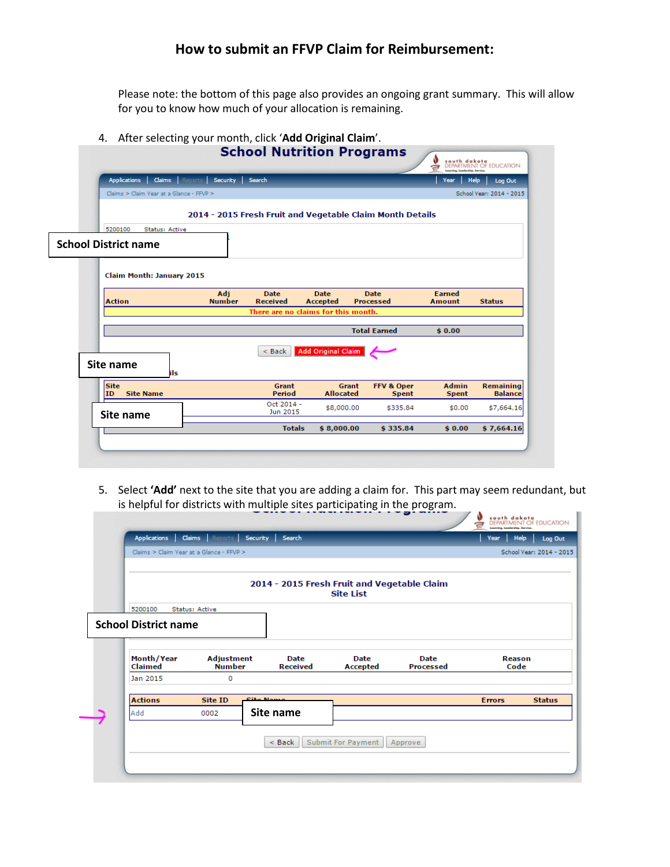Please note: the bottom of this page also provides an ongoing grant summary. This will allow for you to know how much of your allocation is remaining.

#### 4. After selecting your month, click '**Add Original Claim**'.

|                                          |                                          |                                                           |                                |                                 | a<br>Leonsing, Leadership, Service. | DEPARTMENT OF EDUCATION            |
|------------------------------------------|------------------------------------------|-----------------------------------------------------------|--------------------------------|---------------------------------|-------------------------------------|------------------------------------|
| <b>Applications</b>                      | <b>Claims</b> Reports<br>Security Search |                                                           |                                |                                 | <b>Help</b><br>Year                 | Log Out                            |
| Claims > Claim Year at a Glance - FFVP > |                                          |                                                           |                                |                                 |                                     | School Year: 2014 - 2015           |
|                                          |                                          | 2014 - 2015 Fresh Fruit and Vegetable Claim Month Details |                                |                                 |                                     |                                    |
| 5200100<br>Status: Active                |                                          |                                                           |                                |                                 |                                     |                                    |
| <b>School District name</b>              |                                          |                                                           |                                |                                 |                                     |                                    |
| Claim Month: January 2015                |                                          |                                                           |                                |                                 |                                     |                                    |
| <b>Action</b>                            | Adj<br><b>Number</b>                     | <b>Date</b><br><b>Received</b>                            | <b>Date</b><br><b>Accepted</b> | <b>Date</b><br><b>Processed</b> | <b>Earned</b><br><b>Amount</b>      | <b>Status</b>                      |
|                                          |                                          | There are no claims for this month.                       |                                |                                 |                                     |                                    |
|                                          |                                          |                                                           |                                | <b>Total Earned</b>             | \$0.00                              |                                    |
|                                          |                                          | $<$ Back                                                  | <b>Add Original Claim</b>      |                                 |                                     |                                    |
| Site name                                | ils                                      |                                                           |                                |                                 |                                     |                                    |
| <b>Site</b><br><b>Site Name</b><br>ID    |                                          | <b>Grant</b><br>Period                                    | Grant<br><b>Allocated</b>      | FFV & Oper<br><b>Spent</b>      | <b>Admin</b><br><b>Spent</b>        | <b>Remaining</b><br><b>Balance</b> |
|                                          |                                          | Oct 2014 -<br>Jun 2015                                    | \$8,000.00                     | \$335.84                        | \$0.00                              | \$7,664.16                         |
| Site name                                |                                          |                                                           |                                |                                 |                                     |                                    |

5. Select **'Add'** next to the site that you are adding a claim for. This part may seem redundant, but is helpful for districts with multiple sites participating in the program. W south dokate B

|         |                             |                                    |                  |                                |                                                                 |                                 |                       | School Year: 2014 - 2015 |
|---------|-----------------------------|------------------------------------|------------------|--------------------------------|-----------------------------------------------------------------|---------------------------------|-----------------------|--------------------------|
|         |                             |                                    |                  |                                | 2014 - 2015 Fresh Fruit and Vegetable Claim<br><b>Site List</b> |                                 |                       |                          |
| 5200100 |                             | Status: Active                     |                  |                                |                                                                 |                                 |                       |                          |
|         | <b>School District name</b> |                                    |                  |                                |                                                                 |                                 |                       |                          |
|         | Month/Year<br>Claimed       | <b>Adjustment</b><br><b>Number</b> |                  | <b>Date</b><br><b>Received</b> | <b>Date</b><br><b>Accepted</b>                                  | <b>Date</b><br><b>Processed</b> | <b>Reason</b><br>Code |                          |
|         | Jan 2015                    | 0                                  |                  |                                |                                                                 |                                 |                       |                          |
|         | <b>Actions</b>              | Site ID                            | <b>Cita Name</b> |                                |                                                                 |                                 | <b>Errors</b>         | <b>Status</b>            |
| Add     |                             | 0002                               |                  | Site name                      |                                                                 |                                 |                       |                          |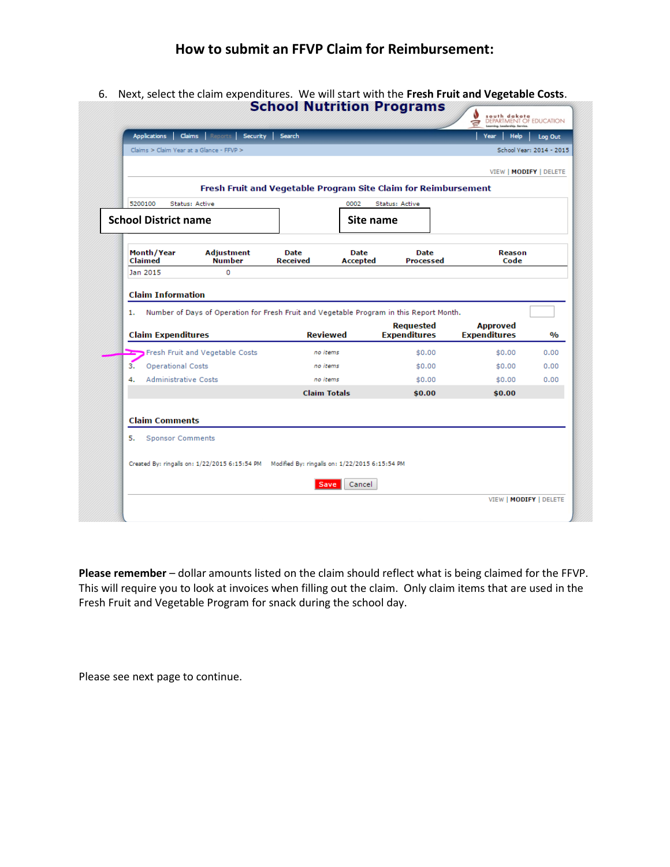6. Next, select the claim expenditures. We will start with the **Fresh Fruit and Vegetable Costs**.

| VIEW   MODIFY   DELETE                                  |
|---------------------------------------------------------|
|                                                         |
|                                                         |
|                                                         |
| Reason<br>Code                                          |
|                                                         |
|                                                         |
| <b>Approved</b><br><b>Expenditures</b><br>$\frac{0}{0}$ |
| 0.00                                                    |
| 0.00                                                    |
| \$0.00<br>0.00                                          |
| \$0.00                                                  |
|                                                         |
|                                                         |
|                                                         |
|                                                         |
| \$0.00<br>\$0.00                                        |

**Please remember** – dollar amounts listed on the claim should reflect what is being claimed for the FFVP. This will require you to look at invoices when filling out the claim. Only claim items that are used in the Fresh Fruit and Vegetable Program for snack during the school day.

Please see next page to continue.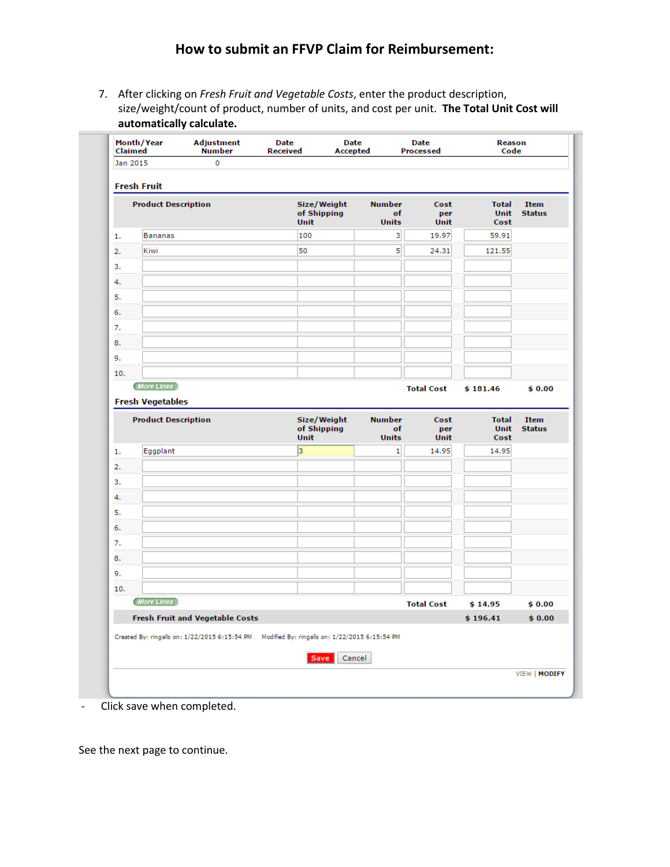7. After clicking on *Fresh Fruit and Vegetable Costs*, enter the product description, size/weight/count of product, number of units, and cost per unit. **The Total Unit Cost will automatically calculate.**

| Claimed  | Month/Year                 | <b>Adjustment</b><br><b>Number</b>                                                            | Date<br><b>Received</b> | Date<br>Accepted           |                                     | Date<br><b>Processed</b> | Reason<br>Code               |                              |
|----------|----------------------------|-----------------------------------------------------------------------------------------------|-------------------------|----------------------------|-------------------------------------|--------------------------|------------------------------|------------------------------|
| Jan 2015 |                            | 0                                                                                             |                         |                            |                                     |                          |                              |                              |
|          | <b>Fresh Fruit</b>         |                                                                                               |                         |                            |                                     |                          |                              |                              |
|          | <b>Product Description</b> |                                                                                               | Unit                    | Size/Weight<br>of Shipping | <b>Number</b><br>of<br><b>Units</b> | Cost<br>per<br>Unit      | <b>Total</b><br>Unit<br>Cost | Item<br><b>Status</b>        |
| 1.       | <b>Bananas</b>             |                                                                                               | 100                     |                            | 3                                   | 19.97                    | 59.91                        |                              |
| 2.       | Kiwi                       |                                                                                               | 50                      |                            | 5                                   | 24.31                    | 121.55                       |                              |
| 3.       |                            |                                                                                               |                         |                            |                                     |                          |                              |                              |
| 4.       |                            |                                                                                               |                         |                            |                                     |                          |                              |                              |
| 5.       |                            |                                                                                               |                         |                            |                                     |                          |                              |                              |
| 6.       |                            |                                                                                               |                         |                            |                                     |                          |                              |                              |
| 7.       |                            |                                                                                               |                         |                            |                                     |                          |                              |                              |
| 8.       |                            |                                                                                               |                         |                            |                                     |                          |                              |                              |
| 9.       |                            |                                                                                               |                         |                            |                                     |                          |                              |                              |
| 10.      |                            |                                                                                               |                         |                            |                                     |                          |                              |                              |
|          | More Lines                 |                                                                                               |                         |                            |                                     | <b>Total Cost</b>        | \$181.46                     | \$0.00                       |
|          | <b>Fresh Vegetables</b>    |                                                                                               |                         |                            |                                     |                          |                              |                              |
|          | <b>Product Description</b> |                                                                                               | <b>Unit</b>             | Size/Weight<br>of Shipping | <b>Number</b><br>of<br><b>Units</b> | Cost<br>per<br>Unit      | <b>Total</b><br>Unit<br>Cost | <b>Item</b><br><b>Status</b> |
| 1.       | Eggplant                   |                                                                                               | 3                       |                            | $\mathbf{1}$                        | 14.95                    | 14.95                        |                              |
| 2.       |                            |                                                                                               |                         |                            |                                     |                          |                              |                              |
| 3.       |                            |                                                                                               |                         |                            |                                     |                          |                              |                              |
| 4.       |                            |                                                                                               |                         |                            |                                     |                          |                              |                              |
| 5.       |                            |                                                                                               |                         |                            |                                     |                          |                              |                              |
| 6.       |                            |                                                                                               |                         |                            |                                     |                          |                              |                              |
| 7.       |                            |                                                                                               |                         |                            |                                     |                          |                              |                              |
| 8.       |                            |                                                                                               |                         |                            |                                     |                          |                              |                              |
| 9.       |                            |                                                                                               |                         |                            |                                     |                          |                              |                              |
| 10.      |                            |                                                                                               |                         |                            |                                     |                          |                              |                              |
|          | More Lines                 |                                                                                               |                         |                            |                                     | <b>Total Cost</b>        | \$14.95                      | \$0.00                       |
|          |                            | <b>Fresh Fruit and Vegetable Costs</b>                                                        |                         |                            |                                     |                          | \$196.41                     | \$0.00                       |
|          |                            | Created By: ringalls on: 1/22/2015 6:15:54 PM  Modified By: ringalls on: 1/22/2015 6:15:54 PM |                         |                            |                                     |                          |                              |                              |
|          |                            |                                                                                               |                         |                            |                                     |                          |                              |                              |

- Click save when completed.

See the next page to continue.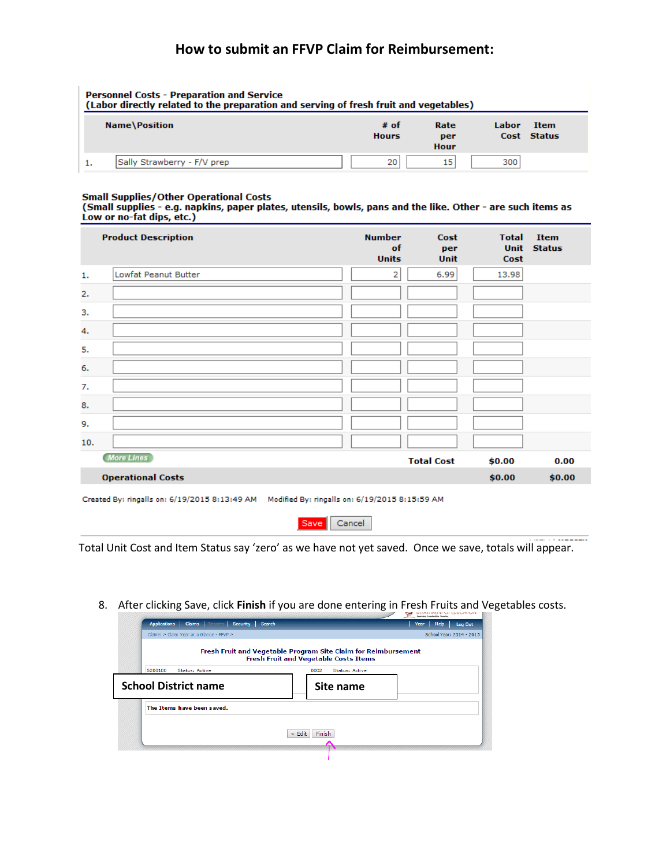| <b>Personnel Costs - Preparation and Service</b><br>(Labor directly related to the preparation and serving of fresh fruit and vegetables) |  |                      |                     |       |                     |  |  |  |
|-------------------------------------------------------------------------------------------------------------------------------------------|--|----------------------|---------------------|-------|---------------------|--|--|--|
| <b>Name\Position</b>                                                                                                                      |  | # of<br><b>Hours</b> | Rate<br>per<br>Hour | Labor | Item<br>Cost Status |  |  |  |
| Sally Strawberry - F/V prep                                                                                                               |  | 20 <sub>1</sub>      | 15                  | 300   |                     |  |  |  |

#### **Small Supplies/Other Operational Costs**

| (Small supplies - e.g. napkins, paper plates, utensils, bowls, pans and the like. Other - are such items as |  |  |  |
|-------------------------------------------------------------------------------------------------------------|--|--|--|
| Low or no-fat dips, etc.)                                                                                   |  |  |  |

|     | <b>Product Description</b>                                                                   | <b>Number</b><br>of<br><b>Units</b> | Cost<br>per<br><b>Unit</b> | <b>Total</b><br><b>Unit</b><br>Cost | <b>Item</b><br><b>Status</b> |
|-----|----------------------------------------------------------------------------------------------|-------------------------------------|----------------------------|-------------------------------------|------------------------------|
| 1.  | Lowfat Peanut Butter                                                                         | 2                                   | 6.99                       | 13.98                               |                              |
| 2.  |                                                                                              |                                     |                            |                                     |                              |
| 3.  |                                                                                              |                                     |                            |                                     |                              |
| 4.  |                                                                                              |                                     |                            |                                     |                              |
| 5.  |                                                                                              |                                     |                            |                                     |                              |
| 6.  |                                                                                              |                                     |                            |                                     |                              |
| 7.  |                                                                                              |                                     |                            |                                     |                              |
| 8.  |                                                                                              |                                     |                            |                                     |                              |
| 9.  |                                                                                              |                                     |                            |                                     |                              |
| 10. |                                                                                              |                                     |                            |                                     |                              |
|     | More Lines                                                                                   |                                     | <b>Total Cost</b>          | \$0.00                              | 0.00                         |
|     | <b>Operational Costs</b>                                                                     |                                     |                            | \$0.00                              | \$0.00                       |
|     | Created By: ringalls on: 6/19/2015 8:13:49 AM Modified By: ringalls on: 6/19/2015 8:15:59 AM |                                     |                            |                                     |                              |



Total Unit Cost and Item Status say 'zero' as we have not yet saved. Once we save, totals will appear.

8. After clicking Save, click **Finish** if you are done entering in Fresh Fruits and Vegetables costs.

| <b>Claims</b> Reports Security Search<br><b>Applications</b> |                                                                                                                | Learning, Leadership, Inrvice<br>Year<br><b>Help</b><br>Log Out |
|--------------------------------------------------------------|----------------------------------------------------------------------------------------------------------------|-----------------------------------------------------------------|
| Claims > Claim Year at a Glance - FFVP >                     |                                                                                                                | School Year: 2014 - 2015                                        |
|                                                              | Fresh Fruit and Vegetable Program Site Claim for Reimbursement<br><b>Fresh Fruit and Vegetable Costs Items</b> |                                                                 |
| 5200100<br><b>Status: Active</b>                             | 0002<br><b>Status: Active</b>                                                                                  |                                                                 |
| <b>School District name</b>                                  | Site name                                                                                                      |                                                                 |
| The Items have been saved.                                   |                                                                                                                |                                                                 |
|                                                              | <b>Finish</b><br>$\leq$ Edit                                                                                   |                                                                 |
|                                                              |                                                                                                                |                                                                 |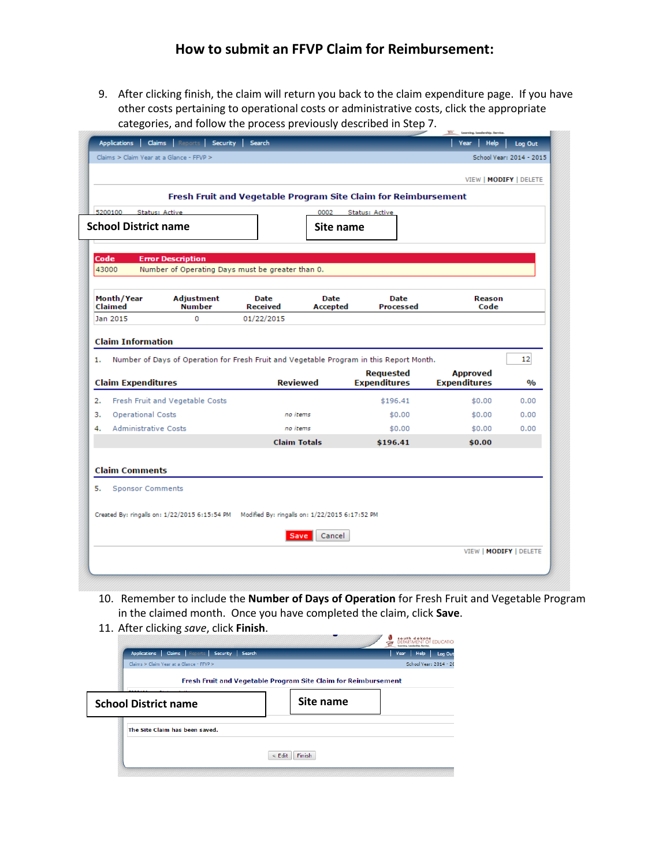9. After clicking finish, the claim will return you back to the claim expenditure page. If you have other costs pertaining to operational costs or administrative costs, click the appropriate categories, and follow the process previously described in Step 7.

| 5200100                                                                                   | Status: Active                                                                               |                  | 0002                    | Fresh Fruit and Vegetable Program Site Claim for Reimbursement<br><b>Status: Active</b> |                                        |               |
|-------------------------------------------------------------------------------------------|----------------------------------------------------------------------------------------------|------------------|-------------------------|-----------------------------------------------------------------------------------------|----------------------------------------|---------------|
| <b>School District name</b>                                                               |                                                                                              |                  | Site name               |                                                                                         |                                        |               |
| Code                                                                                      | <b>Error Description</b>                                                                     |                  |                         |                                                                                         |                                        |               |
| 43000                                                                                     | Number of Operating Days must be greater than 0.                                             |                  |                         |                                                                                         |                                        |               |
| Month/Year<br>Claimed                                                                     | Adjustment<br><b>Number</b>                                                                  | Date<br>Received | <b>Date</b><br>Accepted | Date<br>Processed                                                                       | Reason<br>Code                         |               |
|                                                                                           |                                                                                              |                  |                         |                                                                                         |                                        |               |
|                                                                                           | o                                                                                            | 01/22/2015       |                         |                                                                                         |                                        |               |
|                                                                                           |                                                                                              |                  |                         |                                                                                         |                                        |               |
|                                                                                           |                                                                                              |                  |                         | Number of Days of Operation for Fresh Fruit and Vegetable Program in this Report Month. |                                        | 12            |
|                                                                                           |                                                                                              |                  | <b>Reviewed</b>         | <b>Requested</b><br><b>Expenditures</b>                                                 | <b>Approved</b><br><b>Expenditures</b> | $\frac{0}{0}$ |
|                                                                                           | Fresh Fruit and Vegetable Costs                                                              |                  |                         | \$196.41                                                                                | \$0.00                                 | 0.00          |
| <b>Operational Costs</b>                                                                  |                                                                                              |                  | no items                | \$0.00                                                                                  | \$0.00                                 | 0.00          |
| <b>Administrative Costs</b>                                                               |                                                                                              |                  | no items                | \$0.00                                                                                  | \$0.00                                 | 0.00          |
| Jan 2015<br><b>Claim Information</b><br>1.<br><b>Claim Expenditures</b><br>2.<br>з.<br>4. |                                                                                              |                  | <b>Claim Totals</b>     | \$196.41                                                                                | \$0.00                                 |               |
|                                                                                           |                                                                                              |                  |                         |                                                                                         |                                        |               |
| <b>Claim Comments</b>                                                                     |                                                                                              |                  |                         |                                                                                         |                                        |               |
| 5.<br><b>Sponsor Comments</b>                                                             |                                                                                              |                  |                         |                                                                                         |                                        |               |
|                                                                                           | Created By: ringalls on: 1/22/2015 6:15:54 PM Modified By: ringalls on: 1/22/2015 6:17:52 PM |                  |                         |                                                                                         |                                        |               |

- 10. Remember to include the **Number of Days of Operation** for Fresh Fruit and Vegetable Program in the claimed month. Once you have completed the claim, click **Save**.
- 11. After clicking *save*, click **Finish**.

| $22.7$ and $20.00$ and $20.00$ and $20.00$ and $20.00$ and $20.00$ and $20.00$ and $20.00$ and $20.00$ and $20.00$ and $20.00$ and $20.00$ and $20.00$ and $20.00$ and $20.00$ and $20.00$ and $20.00$ and $20.00$ and $20.00$ |                                                                | south dakota<br>DEPARTMENT OF EDUCATION |
|--------------------------------------------------------------------------------------------------------------------------------------------------------------------------------------------------------------------------------|----------------------------------------------------------------|-----------------------------------------|
| Applications   Claims   Reports   Security   Search                                                                                                                                                                            |                                                                | Log Out<br><b>Help</b><br>Year          |
| Claims > Claim Year at a Glance - FFVP >                                                                                                                                                                                       |                                                                | School Year: 2014 - 20                  |
|                                                                                                                                                                                                                                | Fresh Fruit and Vegetable Program Site Claim for Reimbursement |                                         |
| <b>School District name</b>                                                                                                                                                                                                    | Site name                                                      |                                         |
| The Site Claim has been saved.                                                                                                                                                                                                 |                                                                |                                         |
|                                                                                                                                                                                                                                | $<$ Edit<br><b>Finish</b>                                      |                                         |
|                                                                                                                                                                                                                                |                                                                |                                         |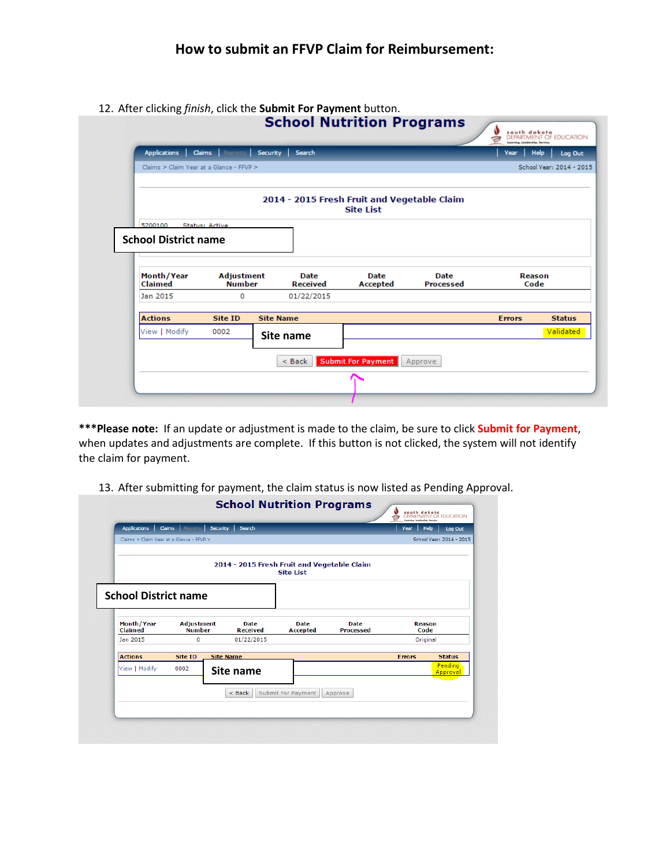12. After clicking *finish*, click the **Submit For Payment** button.

| <b>Applications</b>                      |                                    | <b>Claims Reports Security Search</b>       |                                   |                          | Year           | Help<br>Log Out          |
|------------------------------------------|------------------------------------|---------------------------------------------|-----------------------------------|--------------------------|----------------|--------------------------|
| Claims > Claim Year at a Glance - FFVP > |                                    |                                             |                                   |                          |                | School Vear: 2014 - 2015 |
|                                          |                                    | 2014 - 2015 Fresh Fruit and Vegetable Claim | <b>Site List</b>                  |                          |                |                          |
| 5200100<br><b>School District name</b>   | <b>Status: Active</b>              |                                             |                                   |                          |                |                          |
|                                          |                                    |                                             |                                   |                          |                |                          |
| Month/Year<br>Claimed                    | <b>Adjustment</b><br><b>Number</b> | <b>Date</b><br><b>Received</b>              | <b>Date</b><br><b>Accepted</b>    | <b>Date</b><br>Processed | Reason<br>Code |                          |
| Jan 2015                                 | 0                                  | 01/22/2015                                  |                                   |                          |                |                          |
| <b>Actions</b>                           | Site ID                            | <b>Site Name</b>                            |                                   |                          | <b>Errors</b>  | <b>Status</b>            |
| View   Modify                            | 0002                               | Site name                                   |                                   |                          |                |                          |
|                                          |                                    | $8$ Back                                    | <b>Submit For Payment Approve</b> |                          |                | Validated                |

**\*\*\*Please note:** If an update or adjustment is made to the claim, be sure to click **Submit for Payment**, when updates and adjustments are complete. If this button is not clicked, the system will not identify the claim for payment.

| Claims > Claim Year at a Glance - FFVP >             | <b>Claims</b> Reports              | Security  <br>Search                        |                         |                                 | <b>Help</b><br>Year   | Log Out<br>School Year: 2014 - 2015 |
|------------------------------------------------------|------------------------------------|---------------------------------------------|-------------------------|---------------------------------|-----------------------|-------------------------------------|
|                                                      |                                    | 2014 - 2015 Fresh Fruit and Vegetable Claim | <b>Site List</b>        |                                 |                       |                                     |
| <b>School District name</b><br>Month/Year<br>Claimed | <b>Adjustment</b><br><b>Number</b> | <b>Date</b><br><b>Received</b>              | <b>Date</b><br>Accepted | <b>Date</b><br><b>Processed</b> | <b>Reason</b><br>Code |                                     |
| Jan 2015                                             | 0                                  | 01/22/2015                                  |                         |                                 | Original              |                                     |
| <b>Actions</b>                                       | Site ID                            | <b>Site Name</b>                            |                         |                                 | <b>Errors</b>         | <b>Status</b>                       |
| View   Modify                                        | 0002                               | Site name                                   |                         |                                 |                       | Pending<br>Approval                 |
|                                                      |                                    | $<$ Back                                    | Submit For Payment      | Approve                         |                       |                                     |
|                                                      |                                    |                                             |                         |                                 |                       |                                     |

13. After submitting for payment, the claim status is now listed as Pending Approval.